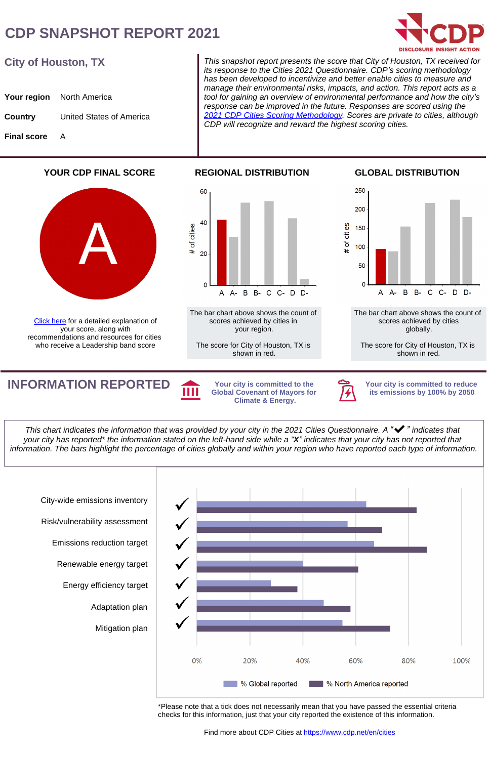## **CDP SNAPSHOT REPORT 2021**



#### **City of Houston, TX**

|                    | <b>Your region</b> North America |
|--------------------|----------------------------------|
| Country            | United States of America         |
| <b>Final score</b> | A                                |

This snapshot report presents the score that City of Houston, TX received for its response to the Cities 2021 Questionnaire. CDP*'*s scoring methodology has been developed to incentivize and better enable cities to measure and manage their environmental risks, impacts, and action. This report acts as a tool for gaining an overview of environmental performance and how the city*'*s response can be improved in the future. Responses are scored using the [2021 CDP Cities Scoring Methodology.](https://guidance.cdp.net/en/guidance?ctype=theme&idtype=ThemeID&cid=21&otype=ScoringModule&incchild=0µsite=0&gettags=0&tags=TAG-570) Scores are private to cities, although CDP will recognize and reward the highest scoring cities.

**YOUR CDP FINAL SCORE**



[Click here](https://cdn.cdp.net/cdp-production/comfy/cms/files/files/000/004/991/original/2021_Next_Steps_document_v1.0_English.pdf) for a detailed explanation of your score, along with recommendations and resources for cities who receive a Leadership band score



The bar chart above shows the count of scores achieved by cities in your region.

The score for City of Houston, TX is shown in red.

**GLOBAL DISTRIBUTION**



The bar chart above shows the count of scores achieved by cities globally.

The score for City of Houston, TX is shown in red.

**INFORMATION REPORTED** Your city is committed to the

**Global Covenant of Mayors for Climate & Energy.**



**Your city is committed to reduce its emissions by 100% by 2050**

This chart indicates the information that was provided by your city in the 2021 Cities Questionnaire. A *"*✔*"* indicates that your city has reported\* the information stated on the left-hand side while a *"***X***"* indicates that your city has not reported that information. The bars highlight the percentage of cities globally and within your region who have reported each type of information.



\*Please note that a tick does not necessarily mean that you have passed the essential criteria checks for this information, just that your city reported the existence of this information.